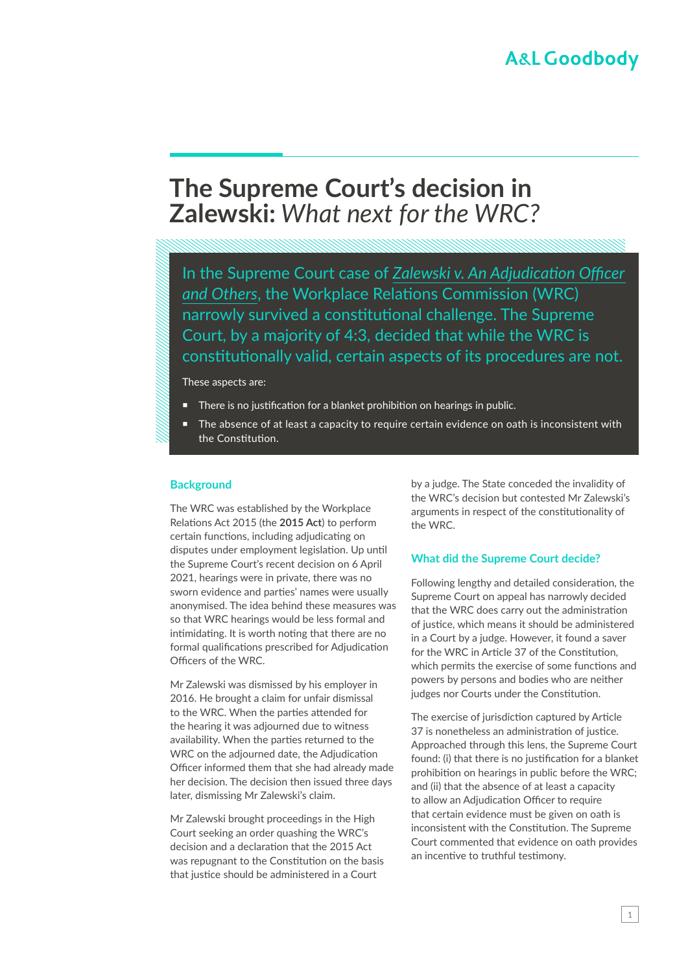# **The Supreme Court's decision in Zalewski:** *What next for the WRC?*

In the Supreme Court case of *[Zalewski v. An Adjudication Officer](https://www.courts.ie/view/judgments/4b94d66e-d29c-45e8-8f91-ad0ff80257a5/85524180-e4af-4b32-abe6-9c64b24bb759/2021_IESC_24 O)  [and Others](https://www.courts.ie/view/judgments/4b94d66e-d29c-45e8-8f91-ad0ff80257a5/85524180-e4af-4b32-abe6-9c64b24bb759/2021_IESC_24 O)*, the Workplace Relations Commission (WRC) narrowly survived a constitutional challenge. The Supreme Court, by a majority of 4:3, decided that while the WRC is constitutionally valid, certain aspects of its procedures are not.

These aspects are:

- There is no justification for a blanket prohibition on hearings in public.
- The absence of at least a capacity to require certain evidence on oath is inconsistent with the Constitution.

#### **Background**

The WRC was established by the Workplace Relations Act 2015 (the **2015 Act**) to perform certain functions, including adjudicating on disputes under employment legislation. Up until the Supreme Court's recent decision on 6 April 2021, hearings were in private, there was no sworn evidence and parties' names were usually anonymised. The idea behind these measures was so that WRC hearings would be less formal and intimidating. It is worth noting that there are no formal qualifications prescribed for Adjudication Officers of the WRC.

Mr Zalewski was dismissed by his employer in 2016. He brought a claim for unfair dismissal to the WRC. When the parties attended for the hearing it was adjourned due to witness availability. When the parties returned to the WRC on the adjourned date, the Adjudication Officer informed them that she had already made her decision. The decision then issued three days later, dismissing Mr Zalewski's claim.

Mr Zalewski brought proceedings in the High Court seeking an order quashing the WRC's decision and a declaration that the 2015 Act was repugnant to the Constitution on the basis that justice should be administered in a Court

by a judge. The State conceded the invalidity of the WRC's decision but contested Mr Zalewski's arguments in respect of the constitutionality of the WRC.

#### **What did the Supreme Court decide?**

Following lengthy and detailed consideration, the Supreme Court on appeal has narrowly decided that the WRC does carry out the administration of justice, which means it should be administered in a Court by a judge. However, it found a saver for the WRC in Article 37 of the Constitution, which permits the exercise of some functions and powers by persons and bodies who are neither judges nor Courts under the Constitution.

The exercise of jurisdiction captured by Article 37 is nonetheless an administration of justice. Approached through this lens, the Supreme Court found: (i) that there is no justification for a blanket prohibition on hearings in public before the WRC; and (ii) that the absence of at least a capacity to allow an Adjudication Officer to require that certain evidence must be given on oath is inconsistent with the Constitution. The Supreme Court commented that evidence on oath provides an incentive to truthful testimony.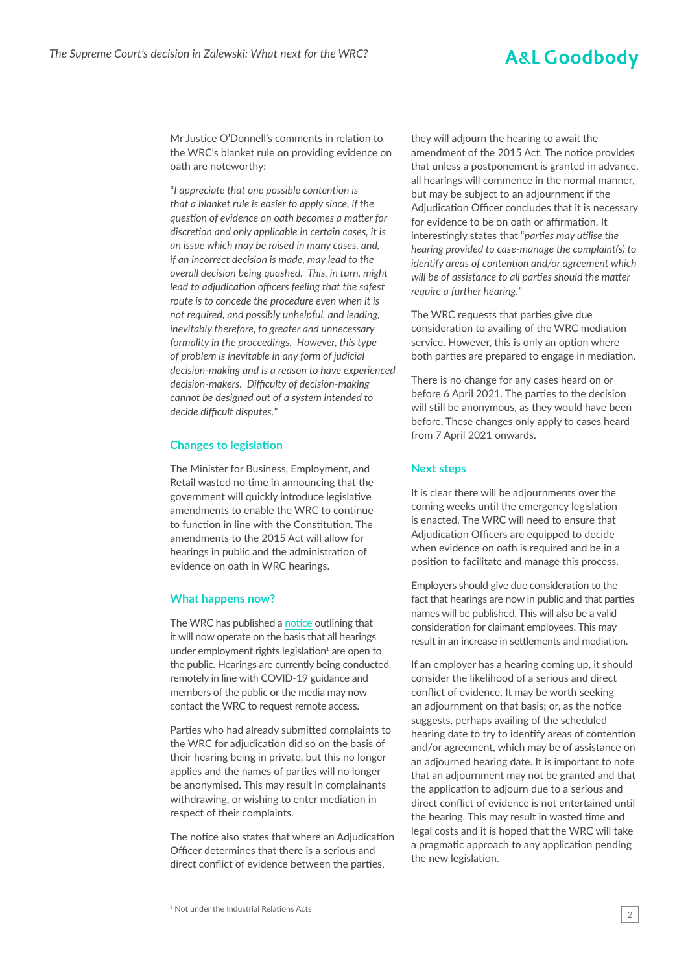## **A&L Goodbody**

Mr Justice O'Donnell's comments in relation to the WRC's blanket rule on providing evidence on oath are noteworthy:

"*I appreciate that one possible contention is that a blanket rule is easier to apply since, if the question of evidence on oath becomes a matter for discretion and only applicable in certain cases, it is an issue which may be raised in many cases, and, if an incorrect decision is made, may lead to the overall decision being quashed. This, in turn, might lead to adjudication officers feeling that the safest route is to concede the procedure even when it is not required, and possibly unhelpful, and leading, inevitably therefore, to greater and unnecessary formality in the proceedings. However, this type of problem is inevitable in any form of judicial decision-making and is a reason to have experienced decision-makers. Difficulty of decision-making cannot be designed out of a system intended to decide difficult disputes.*"

#### **Changes to legislation**

The Minister for Business, Employment, and Retail wasted no time in announcing that the government will quickly introduce legislative amendments to enable the WRC to continue to function in line with the Constitution. The amendments to the 2015 Act will allow for hearings in public and the administration of evidence on oath in WRC hearings.

#### **What happens now?**

The WRC has published a [notice](https://www.workplacerelations.ie/en/news-media/workplace_relations_notices/supreme-court-judgment-in-relation-to-the-workplace-relations-act-2015-and-related-statutes.html) outlining that it will now operate on the basis that all hearings under employment rights legislation<sup>1</sup> are open to the public. Hearings are currently being conducted remotely in line with COVID-19 guidance and members of the public or the media may now contact the WRC to request remote access.

Parties who had already submitted complaints to the WRC for adjudication did so on the basis of their hearing being in private, but this no longer applies and the names of parties will no longer be anonymised. This may result in complainants withdrawing, or wishing to enter mediation in respect of their complaints.

The notice also states that where an Adjudication Officer determines that there is a serious and direct conflict of evidence between the parties,

they will adjourn the hearing to await the amendment of the 2015 Act. The notice provides that unless a postponement is granted in advance, all hearings will commence in the normal manner, but may be subject to an adjournment if the Adjudication Officer concludes that it is necessary for evidence to be on oath or affirmation. It interestingly states that "*parties may utilise the hearing provided to case-manage the complaint(s) to identify areas of contention and/or agreement which will be of assistance to all parties should the matter require a further hearing.*"

The WRC requests that parties give due consideration to availing of the WRC mediation service. However, this is only an option where both parties are prepared to engage in mediation.

There is no change for any cases heard on or before 6 April 2021. The parties to the decision will still be anonymous, as they would have been before. These changes only apply to cases heard from 7 April 2021 onwards.

#### **Next steps**

It is clear there will be adjournments over the coming weeks until the emergency legislation is enacted. The WRC will need to ensure that Adjudication Officers are equipped to decide when evidence on oath is required and be in a position to facilitate and manage this process.

Employers should give due consideration to the fact that hearings are now in public and that parties names will be published. This will also be a valid consideration for claimant employees. This may result in an increase in settlements and mediation.

If an employer has a hearing coming up, it should consider the likelihood of a serious and direct conflict of evidence. It may be worth seeking an adjournment on that basis; or, as the notice suggests, perhaps availing of the scheduled hearing date to try to identify areas of contention and/or agreement, which may be of assistance on an adjourned hearing date. It is important to note that an adjournment may not be granted and that the application to adjourn due to a serious and direct conflict of evidence is not entertained until the hearing. This may result in wasted time and legal costs and it is hoped that the WRC will take a pragmatic approach to any application pending the new legislation.

<sup>&</sup>lt;sup>1</sup> Not under the Industrial Relations Acts